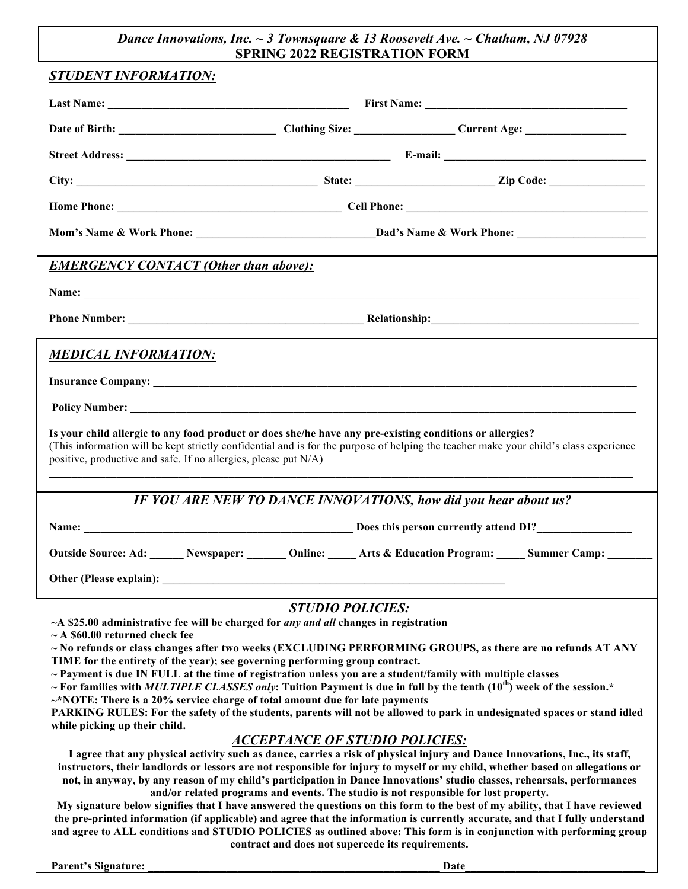## *Dance Innovations, Inc. ~ 3 Townsquare & 13 Roosevelt Ave. ~ Chatham, NJ 07928* **SPRING 2022 REGISTRATION FORM**

| SPRING 2022 REGISTRATION FORM                                                                                                                                                                                                                                                                                           |                                                             |  |  |  |  |  |
|-------------------------------------------------------------------------------------------------------------------------------------------------------------------------------------------------------------------------------------------------------------------------------------------------------------------------|-------------------------------------------------------------|--|--|--|--|--|
| <b>STUDENT INFORMATION:</b>                                                                                                                                                                                                                                                                                             |                                                             |  |  |  |  |  |
|                                                                                                                                                                                                                                                                                                                         |                                                             |  |  |  |  |  |
|                                                                                                                                                                                                                                                                                                                         |                                                             |  |  |  |  |  |
|                                                                                                                                                                                                                                                                                                                         |                                                             |  |  |  |  |  |
|                                                                                                                                                                                                                                                                                                                         |                                                             |  |  |  |  |  |
|                                                                                                                                                                                                                                                                                                                         |                                                             |  |  |  |  |  |
|                                                                                                                                                                                                                                                                                                                         |                                                             |  |  |  |  |  |
| <b>EMERGENCY CONTACT (Other than above):</b>                                                                                                                                                                                                                                                                            |                                                             |  |  |  |  |  |
|                                                                                                                                                                                                                                                                                                                         |                                                             |  |  |  |  |  |
|                                                                                                                                                                                                                                                                                                                         |                                                             |  |  |  |  |  |
|                                                                                                                                                                                                                                                                                                                         |                                                             |  |  |  |  |  |
| <b>MEDICAL INFORMATION:</b>                                                                                                                                                                                                                                                                                             |                                                             |  |  |  |  |  |
|                                                                                                                                                                                                                                                                                                                         |                                                             |  |  |  |  |  |
|                                                                                                                                                                                                                                                                                                                         |                                                             |  |  |  |  |  |
| Is your child allergic to any food product or does she/he have any pre-existing conditions or allergies?<br>(This information will be kept strictly confidential and is for the purpose of helping the teacher make your child's class experience<br>positive, productive and safe. If no allergies, please put $N/A$ ) |                                                             |  |  |  |  |  |
| IF YOU ARE NEW TO DANCE INNOVATIONS, how did you hear about us?                                                                                                                                                                                                                                                         |                                                             |  |  |  |  |  |
|                                                                                                                                                                                                                                                                                                                         |                                                             |  |  |  |  |  |
|                                                                                                                                                                                                                                                                                                                         |                                                             |  |  |  |  |  |
| <b>Outside Source: Ad:</b><br>Online:<br>Newspaper:                                                                                                                                                                                                                                                                     | <b>Arts &amp; Education Program:</b><br><b>Summer Camp:</b> |  |  |  |  |  |
| Other (Please explain): Notice of the state of the state of the state of the state of the state of the state of the state of the state of the state of the state of the state of the state of the state of the state of the st                                                                                          |                                                             |  |  |  |  |  |
| <b>STUDIO POLICIES:</b>                                                                                                                                                                                                                                                                                                 |                                                             |  |  |  |  |  |
| ~A \$25.00 administrative fee will be charged for any and all changes in registration<br>$\sim$ A \$60.00 returned check fee                                                                                                                                                                                            |                                                             |  |  |  |  |  |
| $\sim$ No refunds or class changes after two weeks (EXCLUDING PERFORMING GROUPS, as there are no refunds AT ANY<br>TIME for the entirety of the year); see governing performing group contract.                                                                                                                         |                                                             |  |  |  |  |  |
| $\sim$ Payment is due IN FULL at the time of registration unless you are a student/family with multiple classes                                                                                                                                                                                                         |                                                             |  |  |  |  |  |
| ~ For families with MULTIPLE CLASSES only: Tuition Payment is due in full by the tenth $(10^{th})$ week of the session.*                                                                                                                                                                                                |                                                             |  |  |  |  |  |
| $\sim$ *NOTE: There is a 20% service charge of total amount due for late payments<br>PARKING RULES: For the safety of the students, parents will not be allowed to park in undesignated spaces or stand idled                                                                                                           |                                                             |  |  |  |  |  |
| while picking up their child.                                                                                                                                                                                                                                                                                           |                                                             |  |  |  |  |  |
| <b>ACCEPTANCE OF STUDIO POLICIES:</b>                                                                                                                                                                                                                                                                                   |                                                             |  |  |  |  |  |
| I agree that any physical activity such as dance, carries a risk of physical injury and Dance Innovations, Inc., its staff,                                                                                                                                                                                             |                                                             |  |  |  |  |  |
| instructors, their landlords or lessors are not responsible for injury to myself or my child, whether based on allegations or<br>not, in anyway, by any reason of my child's participation in Dance Innovations' studio classes, rehearsals, performances                                                               |                                                             |  |  |  |  |  |
| and/or related programs and events. The studio is not responsible for lost property.                                                                                                                                                                                                                                    |                                                             |  |  |  |  |  |
| My signature below signifies that I have answered the questions on this form to the best of my ability, that I have reviewed                                                                                                                                                                                            |                                                             |  |  |  |  |  |
| the pre-printed information (if applicable) and agree that the information is currently accurate, and that I fully understand<br>and agree to ALL conditions and STUDIO POLICIES as outlined above: This form is in conjunction with performing group                                                                   |                                                             |  |  |  |  |  |
| contract and does not supercede its requirements.                                                                                                                                                                                                                                                                       |                                                             |  |  |  |  |  |